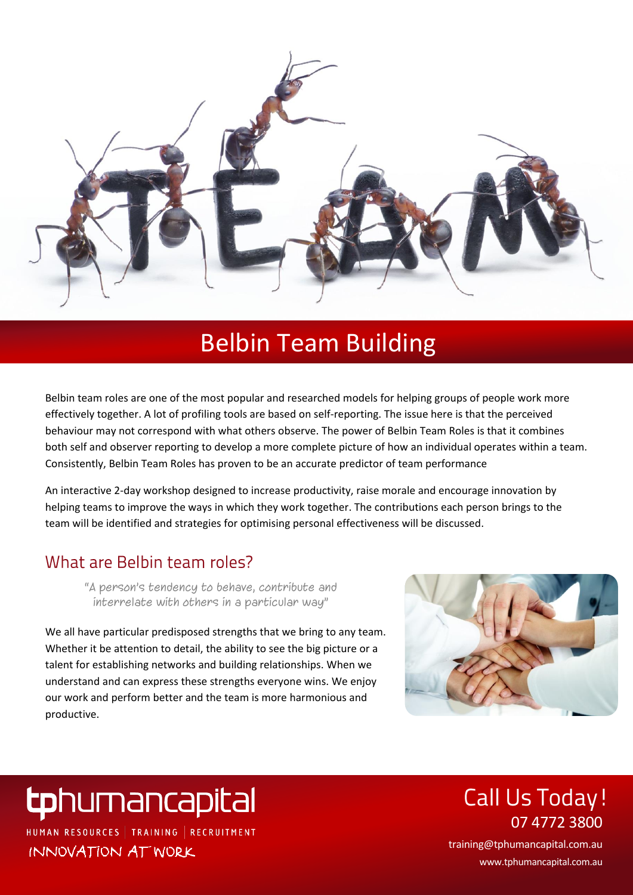

### Belbin Team Building

Belbin team roles are one of the most popular and researched models for helping groups of people work more effectively together. A lot of profiling tools are based on self-reporting. The issue here is that the perceived behaviour may not correspond with what others observe. The power of Belbin Team Roles is that it combines both self and observer reporting to develop a more complete picture of how an individual operates within a team. Consistently, Belbin Team Roles has proven to be an accurate predictor of team performance

An interactive 2-day workshop designed to increase productivity, raise morale and encourage innovation by helping teams to improve the ways in which they work together. The contributions each person brings to the team will be identified and strategies for optimising personal effectiveness will be discussed.

#### What are Belbin team roles?

"A person's tendency to behave, contribute and interrelate with others in a particular way"

We all have particular predisposed strengths that we bring to any team. Whether it be attention to detail, the ability to see the big picture or a talent for establishing networks and building relationships. When we understand and can express these strengths everyone wins. We enjoy our work and perform better and the team is more harmonious and productive.



## **tphumancapital**

HUMAN RESOURCES | TRAINING | RECRUITMENT INNOVATION AT WORK

### **Call Us Today!** 07 4772 3800

training@tphumancapital.com.au www.tphumancapital.com.au